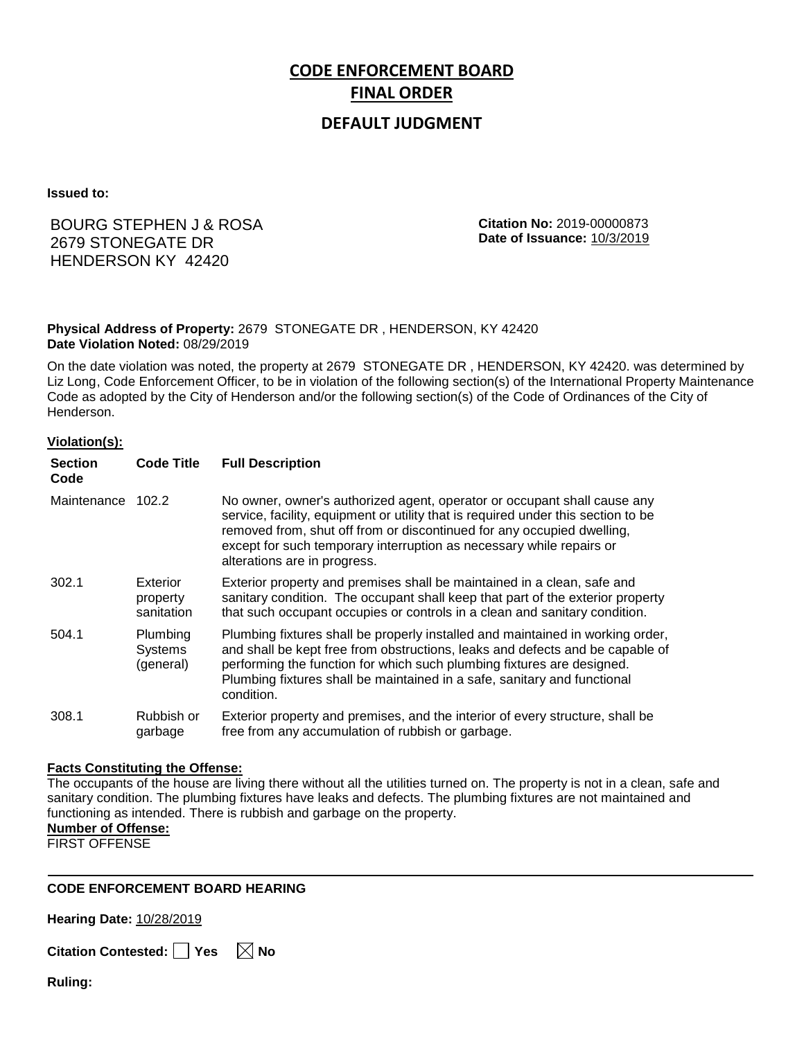# **CODE ENFORCEMENT BOARD FINAL ORDER**

## **DEFAULT JUDGMENT**

**Issued to:**

## BOURG STEPHEN J & ROSA 2679 STONEGATE DR HENDERSON KY 42420

**Citation No:** 2019-00000873 **Date of Issuance:** 10/3/2019

#### **Physical Address of Property:** 2679 STONEGATE DR , HENDERSON, KY 42420 **Date Violation Noted:** 08/29/2019

On the date violation was noted, the property at 2679 STONEGATE DR , HENDERSON, KY 42420. was determined by Liz Long, Code Enforcement Officer, to be in violation of the following section(s) of the International Property Maintenance Code as adopted by the City of Henderson and/or the following section(s) of the Code of Ordinances of the City of Henderson.

#### **Violation(s):**

| <b>Section</b><br>Code | <b>Code Title</b>                       | <b>Full Description</b>                                                                                                                                                                                                                                                                                                                         |
|------------------------|-----------------------------------------|-------------------------------------------------------------------------------------------------------------------------------------------------------------------------------------------------------------------------------------------------------------------------------------------------------------------------------------------------|
| Maintenance 102.2      |                                         | No owner, owner's authorized agent, operator or occupant shall cause any<br>service, facility, equipment or utility that is required under this section to be<br>removed from, shut off from or discontinued for any occupied dwelling,<br>except for such temporary interruption as necessary while repairs or<br>alterations are in progress. |
| 302.1                  | Exterior<br>property<br>sanitation      | Exterior property and premises shall be maintained in a clean, safe and<br>sanitary condition. The occupant shall keep that part of the exterior property<br>that such occupant occupies or controls in a clean and sanitary condition.                                                                                                         |
| 504.1                  | Plumbing<br><b>Systems</b><br>(general) | Plumbing fixtures shall be properly installed and maintained in working order,<br>and shall be kept free from obstructions, leaks and defects and be capable of<br>performing the function for which such plumbing fixtures are designed.<br>Plumbing fixtures shall be maintained in a safe, sanitary and functional<br>condition.             |
| 308.1                  | Rubbish or<br>garbage                   | Exterior property and premises, and the interior of every structure, shall be<br>free from any accumulation of rubbish or garbage.                                                                                                                                                                                                              |

#### **Facts Constituting the Offense:**

The occupants of the house are living there without all the utilities turned on. The property is not in a clean, safe and sanitary condition. The plumbing fixtures have leaks and defects. The plumbing fixtures are not maintained and functioning as intended. There is rubbish and garbage on the property.

### **Number of Offense:**

FIRST OFFENSE

#### **CODE ENFORCEMENT BOARD HEARING**

**Hearing Date:** 10/28/2019

|  | Citation Contested: Yes |  |  | $\boxtimes$ No |
|--|-------------------------|--|--|----------------|
|--|-------------------------|--|--|----------------|

**Ruling:**